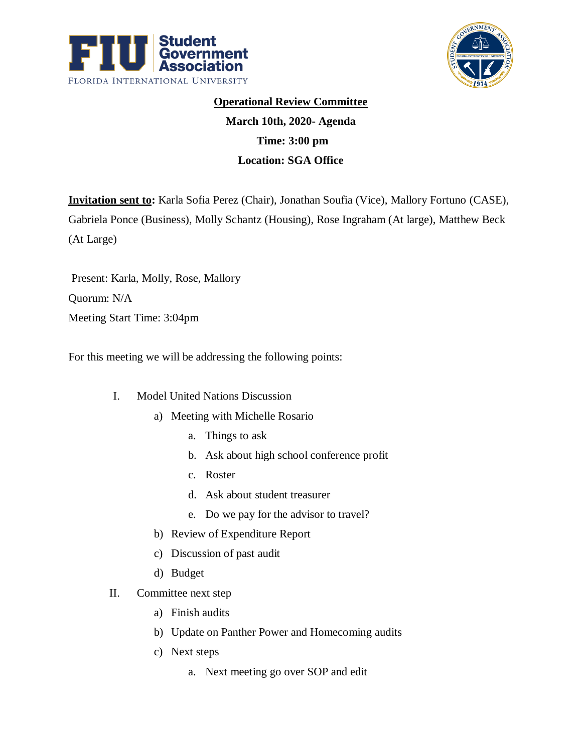



## **Operational Review Committee**

## **March 10th, 2020- Agenda Time: 3:00 pm Location: SGA Office**

**Invitation sent to:** Karla Sofia Perez (Chair), Jonathan Soufia (Vice), Mallory Fortuno (CASE), Gabriela Ponce (Business), Molly Schantz (Housing), Rose Ingraham (At large), Matthew Beck (At Large)

Present: Karla, Molly, Rose, Mallory Quorum: N/A Meeting Start Time: 3:04pm

For this meeting we will be addressing the following points:

- I. Model United Nations Discussion
	- a) Meeting with Michelle Rosario
		- a. Things to ask
		- b. Ask about high school conference profit
		- c. Roster
		- d. Ask about student treasurer
		- e. Do we pay for the advisor to travel?
	- b) Review of Expenditure Report
	- c) Discussion of past audit
	- d) Budget
- II. Committee next step
	- a) Finish audits
	- b) Update on Panther Power and Homecoming audits
	- c) Next steps
		- a. Next meeting go over SOP and edit